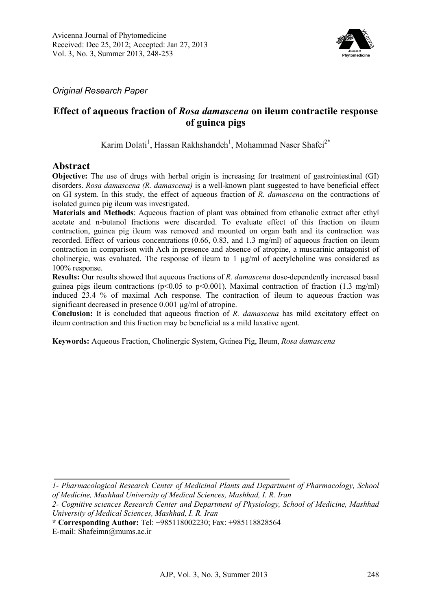

*Original Research Paper* 

# **Effect of aqueous fraction of** *Rosa damascena* **on ileum contractile response of guinea pigs**

Karim Dolati<sup>1</sup>, Hassan Rakhshandeh<sup>1</sup>, Mohammad Naser Shafei<sup>2\*</sup>

### **Abstract**

**Objective:** The use of drugs with herbal origin is increasing for treatment of gastrointestinal (GI) disorders. *Rosa damascena (R. damascena)* is a well-known plant suggested to have beneficial effect on GI system*.* In this study, the effect of aqueous fraction of *R. damascena* on the contractions of isolated guinea pig ileum was investigated.

**Materials and Methods**: Aqueous fraction of plant was obtained from ethanolic extract after ethyl acetate and n-butanol fractions were discarded. To evaluate effect of this fraction on ileum contraction, guinea pig ileum was removed and mounted on organ bath and its contraction was recorded. Effect of various concentrations (0.66, 0.83, and 1.3 mg/ml) of aqueous fraction on ileum contraction in comparison with Ach in presence and absence of atropine, a muscarinic antagonist of cholinergic, was evaluated. The response of ileum to  $1 \mu g/ml$  of acetylcholine was considered as 100% response.

**Results:** Our results showed that aqueous fractions of *R. damascena* dose-dependently increased basal guinea pigs ileum contractions (p<0.05 to p<0.001). Maximal contraction of fraction (1.3 mg/ml) induced 23.4 % of maximal Ach response. The contraction of ileum to aqueous fraction was significant decreased in presence 0.001 µg/ml of atropine.

**Conclusion:** It is concluded that aqueous fraction of *R. damascena* has mild excitatory effect on ileum contraction and this fraction may be beneficial as a mild laxative agent.

**Keywords:** Aqueous Fraction, Cholinergic System, Guinea Pig, Ileum, *Rosa damascena*

*<sup>1-</sup> Pharmacological Research Center of Medicinal Plants and Department of Pharmacology, School of Medicine, Mashhad University of Medical Sciences, Mashhad, I. R. Iran* 

*<sup>2-</sup> Cognitive sciences Research Center and Department of Physiology, School of Medicine, Mashhad University of Medical Sciences, Mashhad, I. R. Iran*

**<sup>\*</sup> Corresponding Author:** Tel: +985118002230; Fax: +985118828564

E-mail: Shafeimn@mums.ac.ir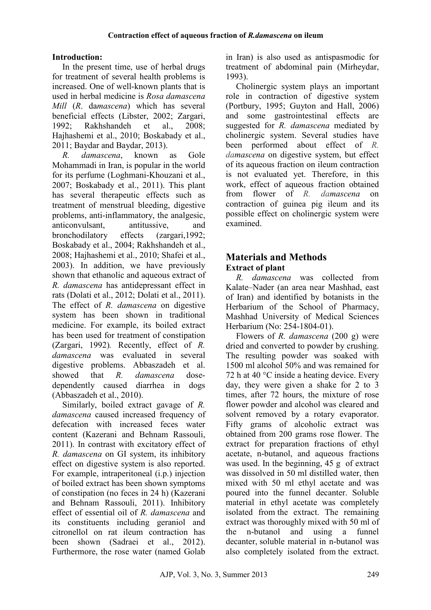# **Introduction:**

In the present time, use of herbal drugs for treatment of several health problems is increased. One of well-known plants that is used in herbal medicine is *Rosa damascena Mill* (*R*. da*mascena*) which has several beneficial effects (Libster, 2002; Zargari, 1992; Rakhshandeh et al., 2008; Hajhashemi et al., 2010; Boskabady et al., 2011; Baydar and Baydar, 2013).

*R. damascena*, known as Gole Mohammadi in Iran, is popular in the world for its perfume (Loghmani-Khouzani et al., 2007; Boskabady et al., 2011). This plant has several therapeutic effects such as treatment of menstrual bleeding, digestive problems, anti-inflammatory, the analgesic, anticonvulsant, antitussive, and bronchodilatory effects (zargari,1992; Boskabady et al., 2004; Rakhshandeh et al., 2008; Hajhashemi et al., 2010; Shafei et al., 2003). In addition, we have previously shown that ethanolic and aqueous extract of *R. damascena* has antidepressant effect in rats (Dolati et al., 2012; Dolati et al., 2011). The effect of *R. damascena* on digestive system has been shown in traditional medicine. For example, its boiled extract has been used for treatment of constipation (Zargari, 1992)*.* Recently, effect of *R. damascena* was evaluated in several digestive problems. Abbaszadeh et al. showed that *R. damascena* dosedependently caused diarrhea in dogs (Abbaszadeh et al., 2010).

Similarly, boiled extract gavage of *R. damascena* caused increased frequency of defecation with increased feces water content (Kazerani and Behnam Rassouli, 2011). In contrast with excitatory effect of *R. damascena* on GI system, its inhibitory effect on digestive system is also reported. For example, intraperitoneal (i.p.) injection of boiled extract has been shown symptoms of constipation (no feces in 24 h) (Kazerani and Behnam Rassouli, 2011). Inhibitory effect of essential oil of *R. damascena* and its constituents including geraniol and citronellol on rat ileum contraction has been shown (Sadraei et al., 2012). Furthermore, the rose water (named Golab

in Iran) is also used as antispasmodic for treatment of abdominal pain (Mirheydar, 1993).

Cholinergic system plays an important role in contraction of digestive system (Portbury, 1995; Guyton and Hall, 2006) and some gastrointestinal effects are suggested for *R. damascena* mediated by cholinergic system. Several studies have been performed about effect of *R. damascena* on digestive system, but effect of its aqueous fraction on ileum contraction is not evaluated yet. Therefore, in this work, effect of aqueous fraction obtained from flower of *R. damascena* on contraction of guinea pig ileum and its possible effect on cholinergic system were examined.

# **Materials and Methods Extract of plant**

*R. damascena* was collected from Kalate–Nader (an area near Mashhad, east of Iran) and identified by botanists in the Herbarium of the School of Pharmacy, Mashhad University of Medical Sciences Herbarium (No: 254-1804-01).

Flowers of *R. damascena* (200 g) were dried and converted to powder by crushing. The resulting powder was soaked with 1500 ml alcohol 50% and was remained for 72 h at 40 °C inside a heating device. Every day, they were given a shake for 2 to 3 times, after 72 hours, the mixture of rose flower powder and alcohol was cleared and solvent removed by a rotary evaporator. Fifty grams of alcoholic extract was obtained from 200 grams rose flower. The extract for preparation fractions of ethyl acetate, n-butanol, and aqueous fractions was used. In the beginning, 45 g of extract was dissolved in 50 ml distilled water, then mixed with 50 ml ethyl acetate and was poured into the funnel decanter. Soluble material in ethyl acetate was completely isolated from the extract. The remaining extract was thoroughly mixed with 50 ml of the n-butanol and using a funnel decanter, soluble material in n-butanol was also completely isolated from the extract.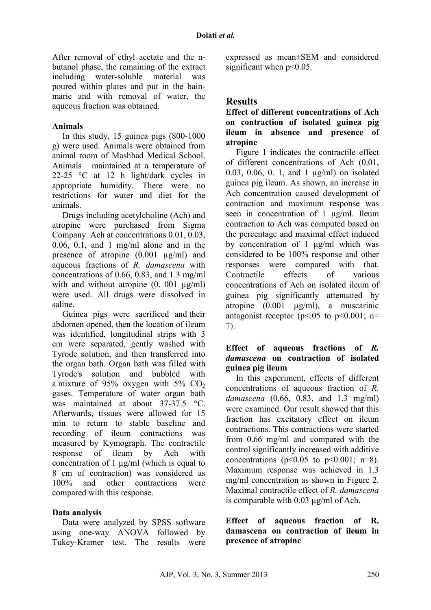After removal of ethyl acetate and the nbutanol phase, the remaining of the extract including water-soluble material was poured within plates and put in the bainmarie and with removal of water, the aqueous fraction was obtained.

#### **Animals**

In this study, 15 guinea pigs (800-1000 g) were used. Animals were obtained from animal room of Mashhad Medical School. Animals maintained at a temperature of 22-25 °C at 12 h light/dark cycles in appropriate humidity. There were no restrictions for water and diet for the animals.

Drugs including acetylcholine (Ach) and atropine were purchased from Sigma Company. Ach at concentrations 0.01, 0.03, 0.06, 0.1, and 1 mg/ml alone and in the presence of atropine (0.001 µg/ml) and aqueous fractions of *R. damascena* with concentrations of 0.66, 0.83, and 1.3 mg/ml with and without atropine  $(0. 001 \mu g/ml)$ were used. All drugs were dissolved in saline.

Guinea pigs were sacrificed and their abdomen opened, then the location of ileum was identified, longitudinal strips with 3 cm were separated, gently washed with Tyrode solution, and then transferred into the organ bath. Organ bath was filled with Tyrode's solution and bubbled with a mixture of 95% oxygen with 5%  $CO<sub>2</sub>$ gases. Temperature of water organ bath was maintained at about 37-37.5 °C. Afterwards, tissues were allowed for 15 min to return to stable baseline and recording of ileum contractions was measured by Kymograph. The contractile response of ileum by Ach with concentration of 1 µg/ml (which is equal to 8 cm of contraction) was considered as 100% and other contractions were compared with this response.

#### **Data analysis**

Data were analyzed by SPSS software using one-way ANOVA followed by Tukey-Kramer test. The results were expressed as mean±SEM and considered significant when  $p<0.05$ .

# **Results**

**Effect of different concentrations of Ach on contraction of isolated guinea pig ileum in absence and presence of atropine** 

Figure 1 indicates the contractile effect of different concentrations of Ach (0.01, 0.03, 0.06, 0. 1, and 1 µg/ml) on isolated guinea pig ileum. As shown, an increase in Ach concentration caused development of contraction and maximum response was seen in concentration of 1 µg/ml. Ileum contraction to Ach was computed based on the percentage and maximal effect induced by concentration of 1 µg/ml which was considered to be 100% response and other responses were compared with that. Contractile effects of various concentrations of Ach on isolated ileum of guinea pig significantly attenuated by atropine (0.001 µg/ml), a muscarinic antagonist receptor ( $p < 0.05$  to  $p < 0.001$ ; n= 7).

#### **Effect of aqueous fractions of** *R. damascena* **on contraction of isolated guinea pig ileum**

In this experiment, effects of different concentrations of aqueous fraction of *R. damascena* (0.66, 0.83, and 1.3 mg/ml) were examined. Our result showed that this fraction has excitatory effect on ileum contractions. This contractions were started from 0.66 mg/ml and compared with the control significantly increased with additive concentrations ( $p<0.05$  to  $p<0.001$ ;  $n=8$ ). Maximum response was achieved in 1.3 mg/ml concentration as shown in Figure 2. Maximal contractile effect of *R. damascena* is comparable with 0.03 µg/ml of Ach.

#### **Effect of aqueous fraction of R. damascena on contraction of ileum in presence of atropine**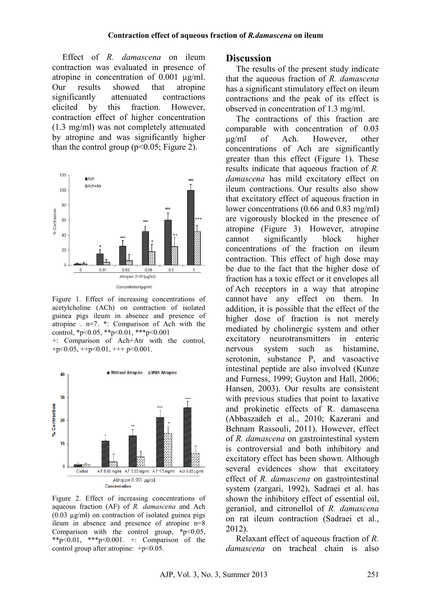Effect of *R. damascena* on ileum contraction was evaluated in presence of atropine in concentration of 0.001 µg/ml. Our results showed that atropine significantly attenuated contractions elicited by this fraction. However, contraction effect of higher concentration (1.3 mg/ml) was not completely attenuated by atropine and was significantly higher than the control group ( $p<0.05$ ; Figure 2).



Figure 1. Effect of increasing concentrations of acetylcholine (ACh) on contraction of isolated guinea pigs ileum in absence and presence of atropine . n=7. \*: Comparison of Ach with the control, \*p<0.05, \*\*p<0.01, \*\*\*p<0.001

+: Comparison of Ach+Atr with the control, +p<0.05, ++p<0.01, +++ p<0.001.



Figure 2. Effect of increasing concentrations of aqueous fraction (AF) of *R. damascena* and Ach  $(0.03 \mu g/ml)$  on contraction of isolated guinea pigs ileum in absence and presence of atropine n=8 Comparison with the control group,  $*p<0.05$ , \*\*p<0.01, \*\*\*p<0.001. +: Comparison of the control group after atropine:  $+p<0.05$ .

### **Discussion**

The results of the present study indicate that the aqueous fraction of *R. damascena* has a significant stimulatory effect on ileum contractions and the peak of its effect is observed in concentration of 1.3 mg/ml.

The contractions of this fraction are comparable with concentration of 0.03<br>  $\mu$ g/ml of Ach. However, other of Ach. However, other concentrations of Ach are significantly greater than this effect (Figure 1). These results indicate that aqueous fraction of *R. damascena* has mild excitatory effect on ileum contractions. Our results also show that excitatory effect of aqueous fraction in lower concentrations (0.66 and 0.83 mg/ml) are vigorously blocked in the presence of atropine (Figure 3). However, atropine cannot significantly block higher concentrations of the fraction on ileum contraction. This effect of high dose may be due to the fact that the higher dose of fraction has a toxic effect or it envelopes all of Ach receptors in a way that atropine cannot have any effect on them. In addition, it is possible that the effect of the higher dose of fraction is not merely mediated by cholinergic system and other excitatory neurotransmitters in enteric nervous system such as histamine, serotonin, substance P, and vasoactive intestinal peptide are also involved (Kunze and Furness, 1999; Guyton and Hall, 2006; Hansen, 2003). Our results are consistent with previous studies that point to laxative and prokinetic effects of R. damascena (Abbaszadeh et al., 2010; Kazerani and Behnam Rassouli, 2011). However, effect of *R. damascena* on gastrointestinal system is controversial and both inhibitory and excitatory effect has been shown. Although several evidences show that excitatory effect of *R. damascena* on gastrointestinal system (zargari, 1992), Sadraei et al. has shown the inhibitory effect of essential oil, geraniol, and citronellol of *R. damascena* on rat ileum contraction (Sadraei et al., 2012).

Relaxant effect of aqueous fraction of *R. damascena* on tracheal chain is also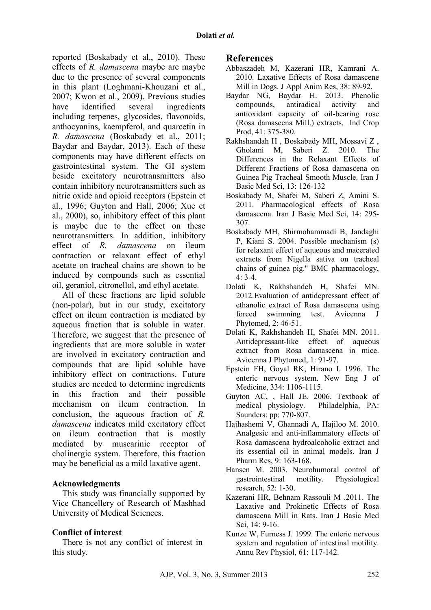reported (Boskabady et al., 2010). These effects of *R. damascena* maybe are maybe due to the presence of several components in this plant (Loghmani-Khouzani et al., 2007; Kwon et al., 2009). Previous studies have identified several ingredients including terpenes, glycosides, flavonoids, anthocyanins, kaempferol, and quarcetin in *R. damascena* (Boskabady et al., 2011; Baydar and Baydar, 2013). Each of these components may have different effects on gastrointestinal system. The GI system beside excitatory neurotransmitters also contain inhibitory neurotransmitters such as nitric oxide and opioid receptors (Epstein et al., 1996; Guyton and Hall, 2006; Xue et al., 2000), so, inhibitory effect of this plant is maybe due to the effect on these neurotransmitters. In addition, inhibitory effect of *R. damascena* on ileum contraction or relaxant effect of ethyl acetate on tracheal chains are shown to be induced by compounds such as essential oil, geraniol, citronellol, and ethyl acetate.

All of these fractions are lipid soluble (non-polar), but in our study, excitatory effect on ileum contraction is mediated by aqueous fraction that is soluble in water. Therefore, we suggest that the presence of ingredients that are more soluble in water are involved in excitatory contraction and compounds that are lipid soluble have inhibitory effect on contractions. Future studies are needed to determine ingredients in this fraction and their possible mechanism on ileum contraction. In conclusion, the aqueous fraction of *R. damascena* indicates mild excitatory effect on ileum contraction that is mostly mediated by muscarinic receptor of cholinergic system. Therefore, this fraction may be beneficial as a mild laxative agent.

#### **Acknowledgments**

This study was financially supported by Vice Chancellery of Research of Mashhad University of Medical Sciences.

### **Conflict of interest**

There is not any conflict of interest in this study.

#### **References**

- Abbaszadeh M, Kazerani HR, Kamrani A. 2010. Laxative Effects of Rosa damascene Mill in Dogs. J Appl Anim Res, 38: 89-92.
- Baydar NG, Baydar H. 2013. Phenolic compounds, antiradical activity and antioxidant capacity of oil-bearing rose (Rosa damascena Mill.) extracts. Ind Crop Prod, 41: 375-380.
- Rakhshandah H , Boskabady MH, Mossavi Z , Gholami M, Saberi Z. 2010. The Differences in the Relaxant Effects of Different Fractions of Rosa damascena on Guinea Pig Tracheal Smooth Muscle. Iran J Basic Med Sci, 13: 126-132
- Boskabady M, Shafei M, Saberi Z, Amini S. 2011. Pharmacological effects of Rosa damascena. Iran J Basic Med Sci, 14: 295- 307.
- Boskabady MH, Shirmohammadi B, Jandaghi P, Kiani S. 2004. Possible mechanism (s) for relaxant effect of aqueous and macerated extracts from Nigella sativa on tracheal chains of guinea pig." BMC pharmacology,  $4.3 - 4.4$
- Dolati K, Rakhshandeh H, Shafei MN. 2012.Evaluation of antidepressant effect of ethanolic extract of Rosa damascena using forced swimming test. Avicenna J Phytomed, 2: 46-51.
- Dolati K, Rakhshandeh H, Shafei MN. 2011. Antidepressant-like effect of aqueous extract from Rosa damascena in mice. Avicenna J Phytomed, 1: 91-97.
- Epstein FH, Goyal RK, Hirano I. 1996. The enteric nervous system. New Eng J of Medicine, 334: 1106-1115.
- Guyton AC, , Hall JE. 2006. Textbook of medical physiology. Philadelphia, PA: Saunders: pp: 770-807.
- Hajhashemi V, Ghannadi A, Hajiloo M. 2010. Analgesic and anti-inflammatory effects of Rosa damascena hydroalcoholic extract and its essential oil in animal models. Iran J Pharm Res, 9: 163-168.
- Hansen M. 2003. Neurohumoral control of gastrointestinal motility. Physiological research, 52: 1-30.
- Kazerani HR, Behnam Rassouli M .2011. The Laxative and Prokinetic Effects of Rosa damascena Mill in Rats. Iran J Basic Med Sci, 14: 9-16.
- Kunze W, Furness J. 1999. The enteric nervous system and regulation of intestinal motility. Annu Rev Physiol, 61: 117-142.